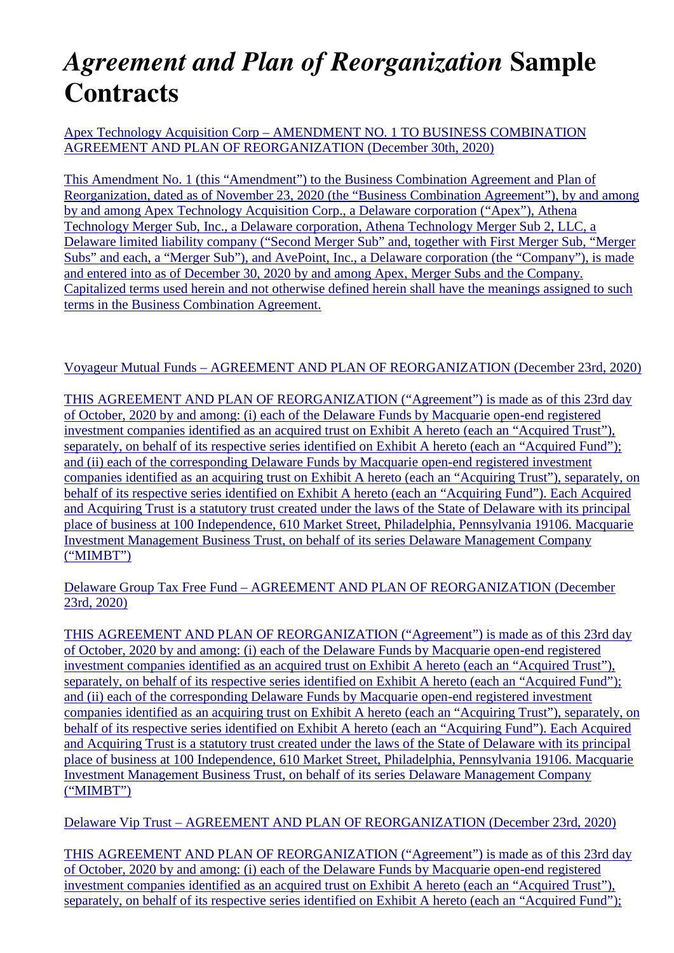## *Agreement and Plan of Reorganization* **Sample Contracts**

Apex Technology Acquisition Corp – AMENDMENT NO. 1 TO BUSINESS COMBINATION AGREEMENT AND PLAN OF REORGANIZATION (December 30th, 2020)

This Amendment No. 1 (this "Amendment") to the Business Combination Agreement and Plan of Reorganization, dated as of November 23, 2020 (the "Business Combination Agreement"), by and among by and among Apex Technology Acquisition Corp., a Delaware corporation ("Apex"), Athena Technology Merger Sub, Inc., a Delaware corporation, Athena Technology Merger Sub 2, LLC, a Delaware limited liability company ("Second Merger Sub" and, together with First Merger Sub, "Merger Subs" and each, a "Merger Sub"), and AvePoint, Inc., a Delaware corporation (the "Company"), is made and entered into as of December 30, 2020 by and among Apex, Merger Subs and the Company. Capitalized terms used herein and not otherwise defined herein shall have the meanings assigned to such terms in the Business Combination Agreement.

## Voyageur Mutual Funds – AGREEMENT AND PLAN OF REORGANIZATION (December 23rd, 2020)

THIS AGREEMENT AND PLAN OF REORGANIZATION ("Agreement") is made as of this 23rd day of October, 2020 by and among: (i) each of the Delaware Funds by Macquarie open-end registered investment companies identified as an acquired trust on Exhibit A hereto (each an "Acquired Trust"), separately, on behalf of its respective series identified on Exhibit A hereto (each an "Acquired Fund"); and (ii) each of the corresponding Delaware Funds by Macquarie open-end registered investment companies identified as an acquiring trust on Exhibit A hereto (each an "Acquiring Trust"), separately, on behalf of its respective series identified on Exhibit A hereto (each an "Acquiring Fund"). Each Acquired and Acquiring Trust is a statutory trust created under the laws of the State of Delaware with its principal place of business at 100 Independence, 610 Market Street, Philadelphia, Pennsylvania 19106. Macquarie Investment Management Business Trust, on behalf of its series Delaware Management Company ("MIMBT")

## Delaware Group Tax Free Fund – AGREEMENT AND PLAN OF REORGANIZATION (December 23rd, 2020)

THIS AGREEMENT AND PLAN OF REORGANIZATION ("Agreement") is made as of this 23rd day of October, 2020 by and among: (i) each of the Delaware Funds by Macquarie open-end registered investment companies identified as an acquired trust on Exhibit A hereto (each an "Acquired Trust"), separately, on behalf of its respective series identified on Exhibit A hereto (each an "Acquired Fund"); and (ii) each of the corresponding Delaware Funds by Macquarie open-end registered investment companies identified as an acquiring trust on Exhibit A hereto (each an "Acquiring Trust"), separately, on behalf of its respective series identified on Exhibit A hereto (each an "Acquiring Fund"). Each Acquired and Acquiring Trust is a statutory trust created under the laws of the State of Delaware with its principal place of business at 100 Independence, 610 Market Street, Philadelphia, Pennsylvania 19106. Macquarie Investment Management Business Trust, on behalf of its series Delaware Management Company ("MIMBT")

Delaware Vip Trust – AGREEMENT AND PLAN OF REORGANIZATION (December 23rd, 2020)

THIS AGREEMENT AND PLAN OF REORGANIZATION ("Agreement") is made as of this 23rd day of October, 2020 by and among: (i) each of the Delaware Funds by Macquarie open-end registered investment companies identified as an acquired trust on Exhibit A hereto (each an "Acquired Trust"), separately, on behalf of its respective series identified on Exhibit A hereto (each an "Acquired Fund");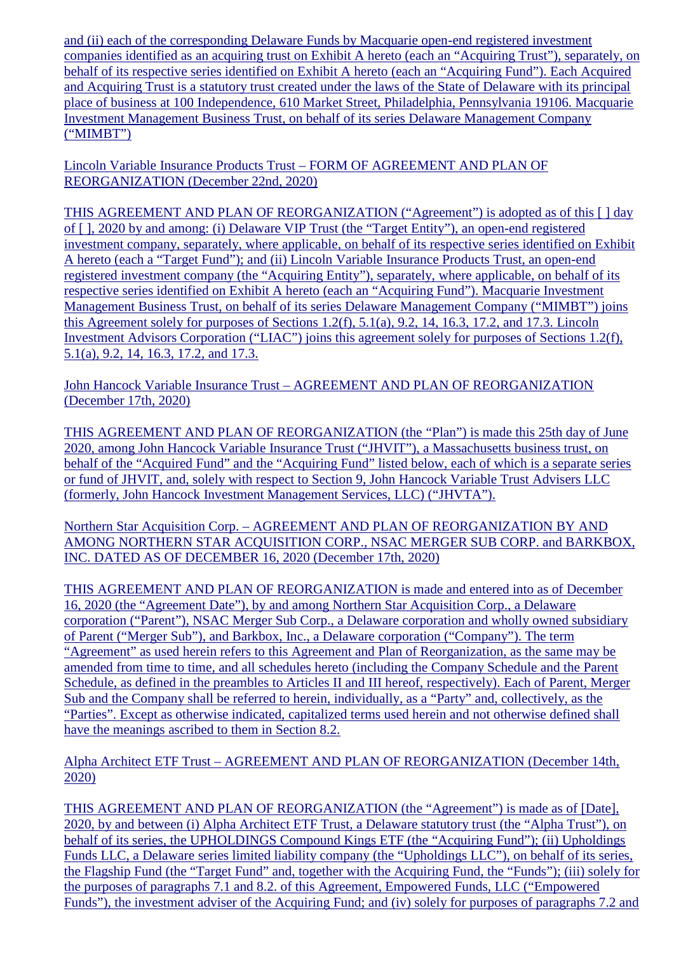and (ii) each of the corresponding Delaware Funds by Macquarie open-end registered investment companies identified as an acquiring trust on Exhibit A hereto (each an "Acquiring Trust"), separately, on behalf of its respective series identified on Exhibit A hereto (each an "Acquiring Fund"). Each Acquired and Acquiring Trust is a statutory trust created under the laws of the State of Delaware with its principal place of business at 100 Independence, 610 Market Street, Philadelphia, Pennsylvania 19106. Macquarie Investment Management Business Trust, on behalf of its series Delaware Management Company ("MIMBT")

Lincoln Variable Insurance Products Trust – FORM OF AGREEMENT AND PLAN OF REORGANIZATION (December 22nd, 2020)

THIS AGREEMENT AND PLAN OF REORGANIZATION ("Agreement") is adopted as of this [ ] day of [ ], 2020 by and among: (i) Delaware VIP Trust (the "Target Entity"), an open-end registered investment company, separately, where applicable, on behalf of its respective series identified on Exhibit A hereto (each a "Target Fund"); and (ii) Lincoln Variable Insurance Products Trust, an open-end registered investment company (the "Acquiring Entity"), separately, where applicable, on behalf of its respective series identified on Exhibit A hereto (each an "Acquiring Fund"). Macquarie Investment Management Business Trust, on behalf of its series Delaware Management Company ("MIMBT") joins this Agreement solely for purposes of Sections 1.2(f), 5.1(a), 9.2, 14, 16.3, 17.2, and 17.3. Lincoln Investment Advisors Corporation ("LIAC") joins this agreement solely for purposes of Sections 1.2(f), 5.1(a), 9.2, 14, 16.3, 17.2, and 17.3.

John Hancock Variable Insurance Trust – AGREEMENT AND PLAN OF REORGANIZATION (December 17th, 2020)

THIS AGREEMENT AND PLAN OF REORGANIZATION (the "Plan") is made this 25th day of June 2020, among John Hancock Variable Insurance Trust ("JHVIT"), a Massachusetts business trust, on behalf of the "Acquired Fund" and the "Acquiring Fund" listed below, each of which is a separate series or fund of JHVIT, and, solely with respect to Section 9, John Hancock Variable Trust Advisers LLC (formerly, John Hancock Investment Management Services, LLC) ("JHVTA").

Northern Star Acquisition Corp. – AGREEMENT AND PLAN OF REORGANIZATION BY AND AMONG NORTHERN STAR ACQUISITION CORP., NSAC MERGER SUB CORP. and BARKBOX, INC. DATED AS OF DECEMBER 16, 2020 (December 17th, 2020)

THIS AGREEMENT AND PLAN OF REORGANIZATION is made and entered into as of December 16, 2020 (the "Agreement Date"), by and among Northern Star Acquisition Corp., a Delaware corporation ("Parent"), NSAC Merger Sub Corp., a Delaware corporation and wholly owned subsidiary of Parent ("Merger Sub"), and Barkbox, Inc., a Delaware corporation ("Company"). The term "Agreement" as used herein refers to this Agreement and Plan of Reorganization, as the same may be amended from time to time, and all schedules hereto (including the Company Schedule and the Parent Schedule, as defined in the preambles to Articles II and III hereof, respectively). Each of Parent, Merger Sub and the Company shall be referred to herein, individually, as a "Party" and, collectively, as the "Parties". Except as otherwise indicated, capitalized terms used herein and not otherwise defined shall have the meanings ascribed to them in Section 8.2.

Alpha Architect ETF Trust – AGREEMENT AND PLAN OF REORGANIZATION (December 14th, 2020)

THIS AGREEMENT AND PLAN OF REORGANIZATION (the "Agreement") is made as of [Date], 2020, by and between (i) Alpha Architect ETF Trust, a Delaware statutory trust (the "Alpha Trust"), on behalf of its series, the UPHOLDINGS Compound Kings ETF (the "Acquiring Fund"); (ii) Upholdings Funds LLC, a Delaware series limited liability company (the "Upholdings LLC"), on behalf of its series, the Flagship Fund (the "Target Fund" and, together with the Acquiring Fund, the "Funds"); (iii) solely for the purposes of paragraphs 7.1 and 8.2. of this Agreement, Empowered Funds, LLC ("Empowered Funds"), the investment adviser of the Acquiring Fund; and (iv) solely for purposes of paragraphs 7.2 and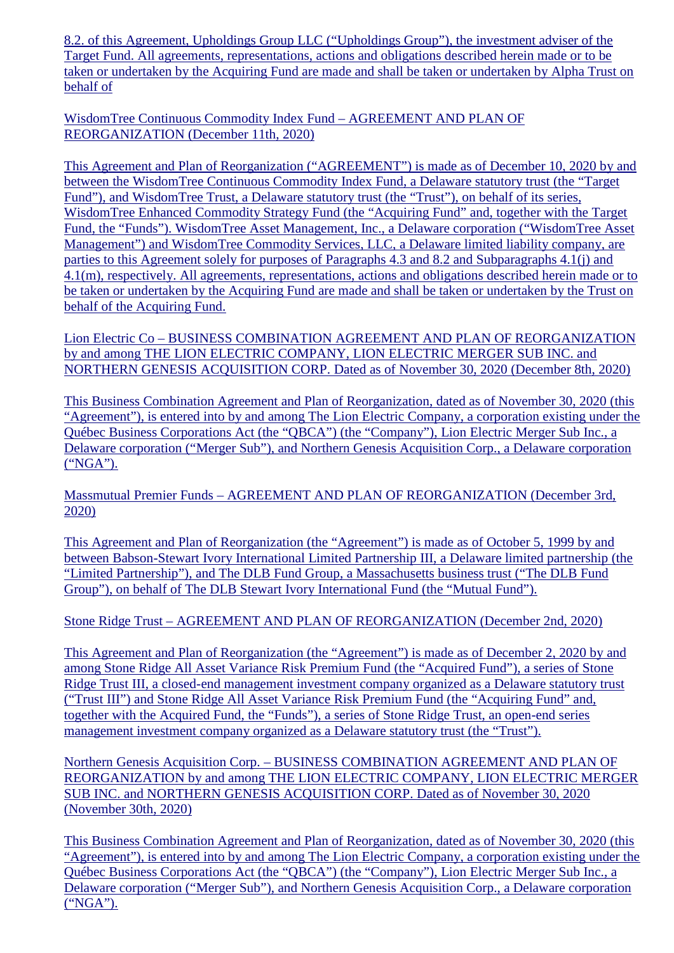8.2. of this Agreement, Upholdings Group LLC ("Upholdings Group"), the investment adviser of the Target Fund. All agreements, representations, actions and obligations described herein made or to be taken or undertaken by the Acquiring Fund are made and shall be taken or undertaken by Alpha Trust on behalf of

WisdomTree Continuous Commodity Index Fund – AGREEMENT AND PLAN OF REORGANIZATION (December 11th, 2020)

This Agreement and Plan of Reorganization ("AGREEMENT") is made as of December 10, 2020 by and between the WisdomTree Continuous Commodity Index Fund, a Delaware statutory trust (the "Target Fund"), and WisdomTree Trust, a Delaware statutory trust (the "Trust"), on behalf of its series, WisdomTree Enhanced Commodity Strategy Fund (the "Acquiring Fund" and, together with the Target Fund, the "Funds"). WisdomTree Asset Management, Inc., a Delaware corporation ("WisdomTree Asset Management") and WisdomTree Commodity Services, LLC, a Delaware limited liability company, are parties to this Agreement solely for purposes of Paragraphs 4.3 and 8.2 and Subparagraphs 4.1(j) and 4.1(m), respectively. All agreements, representations, actions and obligations described herein made or to be taken or undertaken by the Acquiring Fund are made and shall be taken or undertaken by the Trust on behalf of the Acquiring Fund.

Lion Electric Co – BUSINESS COMBINATION AGREEMENT AND PLAN OF REORGANIZATION by and among THE LION ELECTRIC COMPANY, LION ELECTRIC MERGER SUB INC. and NORTHERN GENESIS ACQUISITION CORP. Dated as of November 30, 2020 (December 8th, 2020)

This Business Combination Agreement and Plan of Reorganization, dated as of November 30, 2020 (this "Agreement"), is entered into by and among The Lion Electric Company, a corporation existing under the Québec Business Corporations Act (the "QBCA") (the "Company"), Lion Electric Merger Sub Inc., a Delaware corporation ("Merger Sub"), and Northern Genesis Acquisition Corp., a Delaware corporation ("NGA").

Massmutual Premier Funds – AGREEMENT AND PLAN OF REORGANIZATION (December 3rd, 2020)

This Agreement and Plan of Reorganization (the "Agreement") is made as of October 5, 1999 by and between Babson-Stewart Ivory International Limited Partnership III, a Delaware limited partnership (the "Limited Partnership"), and The DLB Fund Group, a Massachusetts business trust ("The DLB Fund Group"), on behalf of The DLB Stewart Ivory International Fund (the "Mutual Fund").

Stone Ridge Trust – AGREEMENT AND PLAN OF REORGANIZATION (December 2nd, 2020)

This Agreement and Plan of Reorganization (the "Agreement") is made as of December 2, 2020 by and among Stone Ridge All Asset Variance Risk Premium Fund (the "Acquired Fund"), a series of Stone Ridge Trust III, a closed-end management investment company organized as a Delaware statutory trust ("Trust III") and Stone Ridge All Asset Variance Risk Premium Fund (the "Acquiring Fund" and, together with the Acquired Fund, the "Funds"), a series of Stone Ridge Trust, an open-end series management investment company organized as a Delaware statutory trust (the "Trust").

Northern Genesis Acquisition Corp. – BUSINESS COMBINATION AGREEMENT AND PLAN OF REORGANIZATION by and among THE LION ELECTRIC COMPANY, LION ELECTRIC MERGER SUB INC. and NORTHERN GENESIS ACQUISITION CORP. Dated as of November 30, 2020 (November 30th, 2020)

This Business Combination Agreement and Plan of Reorganization, dated as of November 30, 2020 (this "Agreement"), is entered into by and among The Lion Electric Company, a corporation existing under the Québec Business Corporations Act (the "QBCA") (the "Company"), Lion Electric Merger Sub Inc., a Delaware corporation ("Merger Sub"), and Northern Genesis Acquisition Corp., a Delaware corporation ("NGA").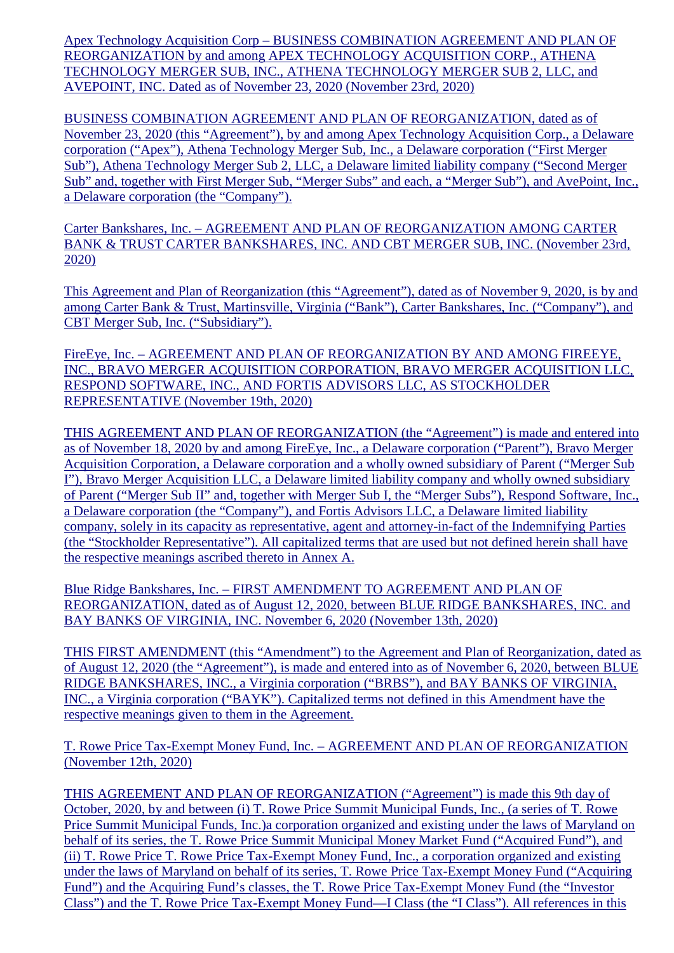Apex Technology Acquisition Corp – BUSINESS COMBINATION AGREEMENT AND PLAN OF REORGANIZATION by and among APEX TECHNOLOGY ACQUISITION CORP., ATHENA TECHNOLOGY MERGER SUB, INC., ATHENA TECHNOLOGY MERGER SUB 2, LLC, and AVEPOINT, INC. Dated as of November 23, 2020 (November 23rd, 2020)

BUSINESS COMBINATION AGREEMENT AND PLAN OF REORGANIZATION, dated as of November 23, 2020 (this "Agreement"), by and among Apex Technology Acquisition Corp., a Delaware corporation ("Apex"), Athena Technology Merger Sub, Inc., a Delaware corporation ("First Merger Sub"), Athena Technology Merger Sub 2, LLC, a Delaware limited liability company ("Second Merger Sub" and, together with First Merger Sub, "Merger Subs" and each, a "Merger Sub"), and AvePoint, Inc., a Delaware corporation (the "Company").

Carter Bankshares, Inc. – AGREEMENT AND PLAN OF REORGANIZATION AMONG CARTER BANK & TRUST CARTER BANKSHARES, INC. AND CBT MERGER SUB, INC. (November 23rd, 2020)

This Agreement and Plan of Reorganization (this "Agreement"), dated as of November 9, 2020, is by and among Carter Bank & Trust, Martinsville, Virginia ("Bank"), Carter Bankshares, Inc. ("Company"), and CBT Merger Sub, Inc. ("Subsidiary").

FireEye, Inc. – AGREEMENT AND PLAN OF REORGANIZATION BY AND AMONG FIREEYE, INC., BRAVO MERGER ACQUISITION CORPORATION, BRAVO MERGER ACQUISITION LLC, RESPOND SOFTWARE, INC., AND FORTIS ADVISORS LLC, AS STOCKHOLDER REPRESENTATIVE (November 19th, 2020)

THIS AGREEMENT AND PLAN OF REORGANIZATION (the "Agreement") is made and entered into as of November 18, 2020 by and among FireEye, Inc., a Delaware corporation ("Parent"), Bravo Merger Acquisition Corporation, a Delaware corporation and a wholly owned subsidiary of Parent ("Merger Sub I"), Bravo Merger Acquisition LLC, a Delaware limited liability company and wholly owned subsidiary of Parent ("Merger Sub II" and, together with Merger Sub I, the "Merger Subs"), Respond Software, Inc., a Delaware corporation (the "Company"), and Fortis Advisors LLC, a Delaware limited liability company, solely in its capacity as representative, agent and attorney-in-fact of the Indemnifying Parties (the "Stockholder Representative"). All capitalized terms that are used but not defined herein shall have the respective meanings ascribed thereto in Annex A.

Blue Ridge Bankshares, Inc. – FIRST AMENDMENT TO AGREEMENT AND PLAN OF REORGANIZATION, dated as of August 12, 2020, between BLUE RIDGE BANKSHARES, INC. and BAY BANKS OF VIRGINIA, INC. November 6, 2020 (November 13th, 2020)

THIS FIRST AMENDMENT (this "Amendment") to the Agreement and Plan of Reorganization, dated as of August 12, 2020 (the "Agreement"), is made and entered into as of November 6, 2020, between BLUE RIDGE BANKSHARES, INC., a Virginia corporation ("BRBS"), and BAY BANKS OF VIRGINIA, INC., a Virginia corporation ("BAYK"). Capitalized terms not defined in this Amendment have the respective meanings given to them in the Agreement.

T. Rowe Price Tax-Exempt Money Fund, Inc. – AGREEMENT AND PLAN OF REORGANIZATION (November 12th, 2020)

THIS AGREEMENT AND PLAN OF REORGANIZATION ("Agreement") is made this 9th day of October, 2020, by and between (i) T. Rowe Price Summit Municipal Funds, Inc., (a series of T. Rowe Price Summit Municipal Funds, Inc.)a corporation organized and existing under the laws of Maryland on behalf of its series, the T. Rowe Price Summit Municipal Money Market Fund ("Acquired Fund"), and (ii) T. Rowe Price T. Rowe Price Tax-Exempt Money Fund, Inc., a corporation organized and existing under the laws of Maryland on behalf of its series, T. Rowe Price Tax-Exempt Money Fund ("Acquiring Fund") and the Acquiring Fund's classes, the T. Rowe Price Tax-Exempt Money Fund (the "Investor Class") and the T. Rowe Price Tax-Exempt Money Fund—I Class (the "I Class"). All references in this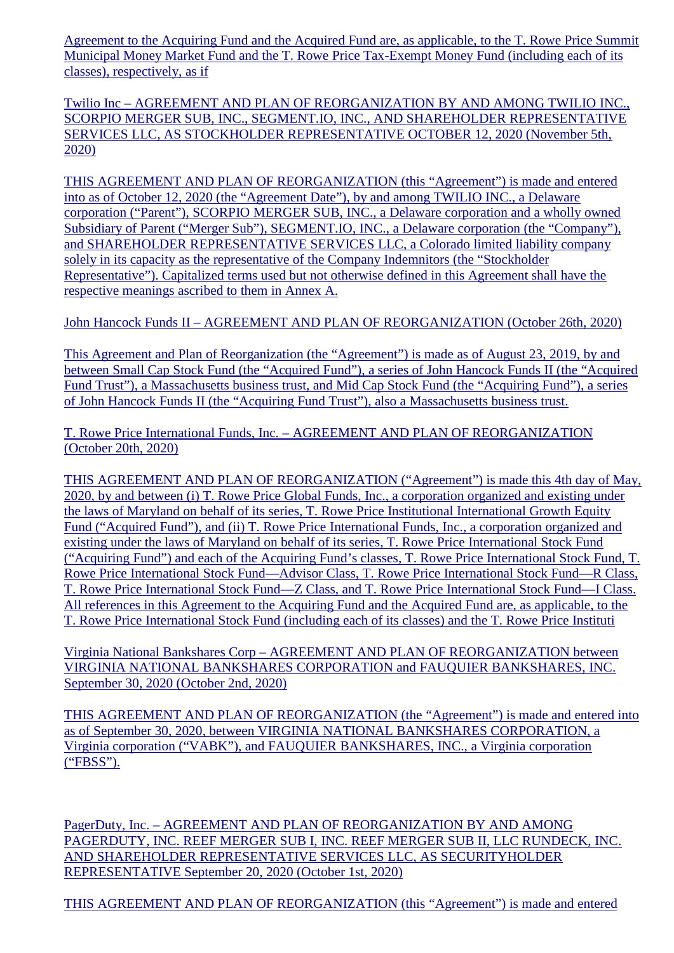Agreement to the Acquiring Fund and the Acquired Fund are, as applicable, to the T. Rowe Price Summit Municipal Money Market Fund and the T. Rowe Price Tax-Exempt Money Fund (including each of its classes), respectively, as if

Twilio Inc – AGREEMENT AND PLAN OF REORGANIZATION BY AND AMONG TWILIO INC., SCORPIO MERGER SUB, INC., SEGMENT.IO, INC., AND SHAREHOLDER REPRESENTATIVE SERVICES LLC, AS STOCKHOLDER REPRESENTATIVE OCTOBER 12, 2020 (November 5th, 2020)

THIS AGREEMENT AND PLAN OF REORGANIZATION (this "Agreement") is made and entered into as of October 12, 2020 (the "Agreement Date"), by and among TWILIO INC., a Delaware corporation ("Parent"), SCORPIO MERGER SUB, INC., a Delaware corporation and a wholly owned Subsidiary of Parent ("Merger Sub"), SEGMENT.IO, INC., a Delaware corporation (the "Company"), and SHAREHOLDER REPRESENTATIVE SERVICES LLC, a Colorado limited liability company solely in its capacity as the representative of the Company Indemnitors (the "Stockholder Representative"). Capitalized terms used but not otherwise defined in this Agreement shall have the respective meanings ascribed to them in Annex A.

John Hancock Funds II – AGREEMENT AND PLAN OF REORGANIZATION (October 26th, 2020)

This Agreement and Plan of Reorganization (the "Agreement") is made as of August 23, 2019, by and between Small Cap Stock Fund (the "Acquired Fund"), a series of John Hancock Funds II (the "Acquired Fund Trust"), a Massachusetts business trust, and Mid Cap Stock Fund (the "Acquiring Fund"), a series of John Hancock Funds II (the "Acquiring Fund Trust"), also a Massachusetts business trust.

T. Rowe Price International Funds, Inc. – AGREEMENT AND PLAN OF REORGANIZATION (October 20th, 2020)

THIS AGREEMENT AND PLAN OF REORGANIZATION ("Agreement") is made this 4th day of May, 2020, by and between (i) T. Rowe Price Global Funds, Inc., a corporation organized and existing under the laws of Maryland on behalf of its series, T. Rowe Price Institutional International Growth Equity Fund ("Acquired Fund"), and (ii) T. Rowe Price International Funds, Inc., a corporation organized and existing under the laws of Maryland on behalf of its series, T. Rowe Price International Stock Fund ("Acquiring Fund") and each of the Acquiring Fund's classes, T. Rowe Price International Stock Fund, T. Rowe Price International Stock Fund—Advisor Class, T. Rowe Price International Stock Fund—R Class, T. Rowe Price International Stock Fund—Z Class, and T. Rowe Price International Stock Fund—I Class. All references in this Agreement to the Acquiring Fund and the Acquired Fund are, as applicable, to the T. Rowe Price International Stock Fund (including each of its classes) and the T. Rowe Price Instituti

Virginia National Bankshares Corp – AGREEMENT AND PLAN OF REORGANIZATION between VIRGINIA NATIONAL BANKSHARES CORPORATION and FAUQUIER BANKSHARES, INC. September 30, 2020 (October 2nd, 2020)

THIS AGREEMENT AND PLAN OF REORGANIZATION (the "Agreement") is made and entered into as of September 30, 2020, between VIRGINIA NATIONAL BANKSHARES CORPORATION, a Virginia corporation ("VABK"), and FAUQUIER BANKSHARES, INC., a Virginia corporation ("FBSS").

PagerDuty, Inc. – AGREEMENT AND PLAN OF REORGANIZATION BY AND AMONG PAGERDUTY, INC. REEF MERGER SUB I, INC. REEF MERGER SUB II, LLC RUNDECK, INC. AND SHAREHOLDER REPRESENTATIVE SERVICES LLC, AS SECURITYHOLDER REPRESENTATIVE September 20, 2020 (October 1st, 2020)

THIS AGREEMENT AND PLAN OF REORGANIZATION (this "Agreement") is made and entered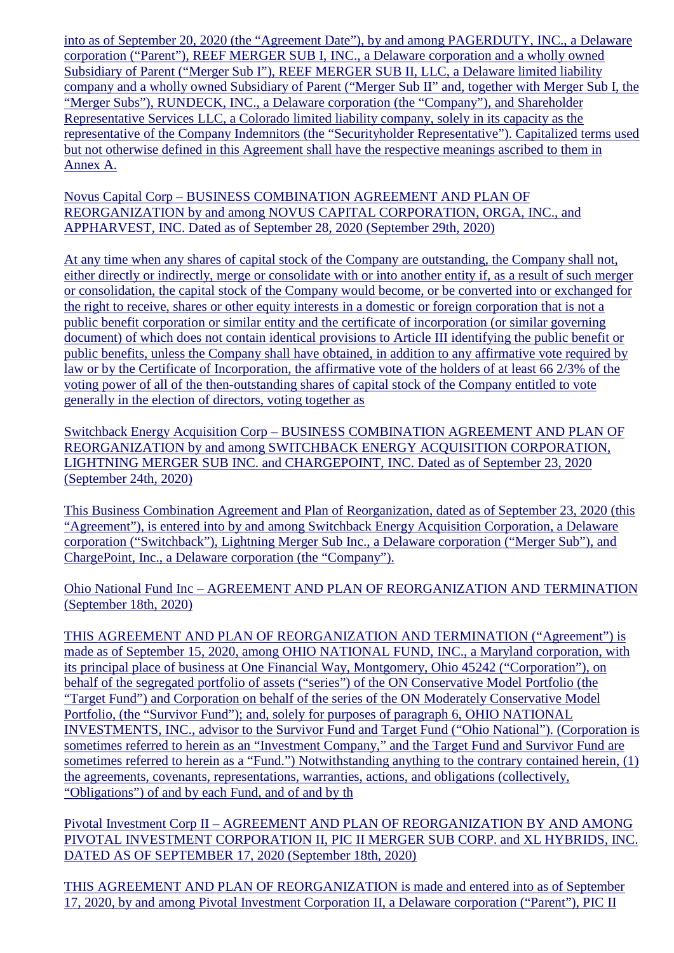into as of September 20, 2020 (the "Agreement Date"), by and among PAGERDUTY, INC., a Delaware corporation ("Parent"), REEF MERGER SUB I, INC., a Delaware corporation and a wholly owned Subsidiary of Parent ("Merger Sub I"), REEF MERGER SUB II, LLC, a Delaware limited liability company and a wholly owned Subsidiary of Parent ("Merger Sub II" and, together with Merger Sub I, the "Merger Subs"), RUNDECK, INC., a Delaware corporation (the "Company"), and Shareholder Representative Services LLC, a Colorado limited liability company, solely in its capacity as the representative of the Company Indemnitors (the "Securityholder Representative"). Capitalized terms used but not otherwise defined in this Agreement shall have the respective meanings ascribed to them in Annex A.

Novus Capital Corp – BUSINESS COMBINATION AGREEMENT AND PLAN OF REORGANIZATION by and among NOVUS CAPITAL CORPORATION, ORGA, INC., and APPHARVEST, INC. Dated as of September 28, 2020 (September 29th, 2020)

At any time when any shares of capital stock of the Company are outstanding, the Company shall not, either directly or indirectly, merge or consolidate with or into another entity if, as a result of such merger or consolidation, the capital stock of the Company would become, or be converted into or exchanged for the right to receive, shares or other equity interests in a domestic or foreign corporation that is not a public benefit corporation or similar entity and the certificate of incorporation (or similar governing document) of which does not contain identical provisions to Article III identifying the public benefit or public benefits, unless the Company shall have obtained, in addition to any affirmative vote required by law or by the Certificate of Incorporation, the affirmative vote of the holders of at least 66 2/3% of the voting power of all of the then-outstanding shares of capital stock of the Company entitled to vote generally in the election of directors, voting together as

Switchback Energy Acquisition Corp – BUSINESS COMBINATION AGREEMENT AND PLAN OF REORGANIZATION by and among SWITCHBACK ENERGY ACQUISITION CORPORATION, LIGHTNING MERGER SUB INC. and CHARGEPOINT, INC. Dated as of September 23, 2020 (September 24th, 2020)

This Business Combination Agreement and Plan of Reorganization, dated as of September 23, 2020 (this "Agreement"), is entered into by and among Switchback Energy Acquisition Corporation, a Delaware corporation ("Switchback"), Lightning Merger Sub Inc., a Delaware corporation ("Merger Sub"), and ChargePoint, Inc., a Delaware corporation (the "Company").

Ohio National Fund Inc – AGREEMENT AND PLAN OF REORGANIZATION AND TERMINATION (September 18th, 2020)

THIS AGREEMENT AND PLAN OF REORGANIZATION AND TERMINATION ("Agreement") is made as of September 15, 2020, among OHIO NATIONAL FUND, INC., a Maryland corporation, with its principal place of business at One Financial Way, Montgomery, Ohio 45242 ("Corporation"), on behalf of the segregated portfolio of assets ("series") of the ON Conservative Model Portfolio (the "Target Fund") and Corporation on behalf of the series of the ON Moderately Conservative Model Portfolio, (the "Survivor Fund"); and, solely for purposes of paragraph 6, OHIO NATIONAL INVESTMENTS, INC., advisor to the Survivor Fund and Target Fund ("Ohio National"). (Corporation is sometimes referred to herein as an "Investment Company," and the Target Fund and Survivor Fund are sometimes referred to herein as a "Fund.") Notwithstanding anything to the contrary contained herein, (1) the agreements, covenants, representations, warranties, actions, and obligations (collectively, "Obligations") of and by each Fund, and of and by th

Pivotal Investment Corp II – AGREEMENT AND PLAN OF REORGANIZATION BY AND AMONG PIVOTAL INVESTMENT CORPORATION II, PIC II MERGER SUB CORP. and XL HYBRIDS, INC. DATED AS OF SEPTEMBER 17, 2020 (September 18th, 2020)

THIS AGREEMENT AND PLAN OF REORGANIZATION is made and entered into as of September 17, 2020, by and among Pivotal Investment Corporation II, a Delaware corporation ("Parent"), PIC II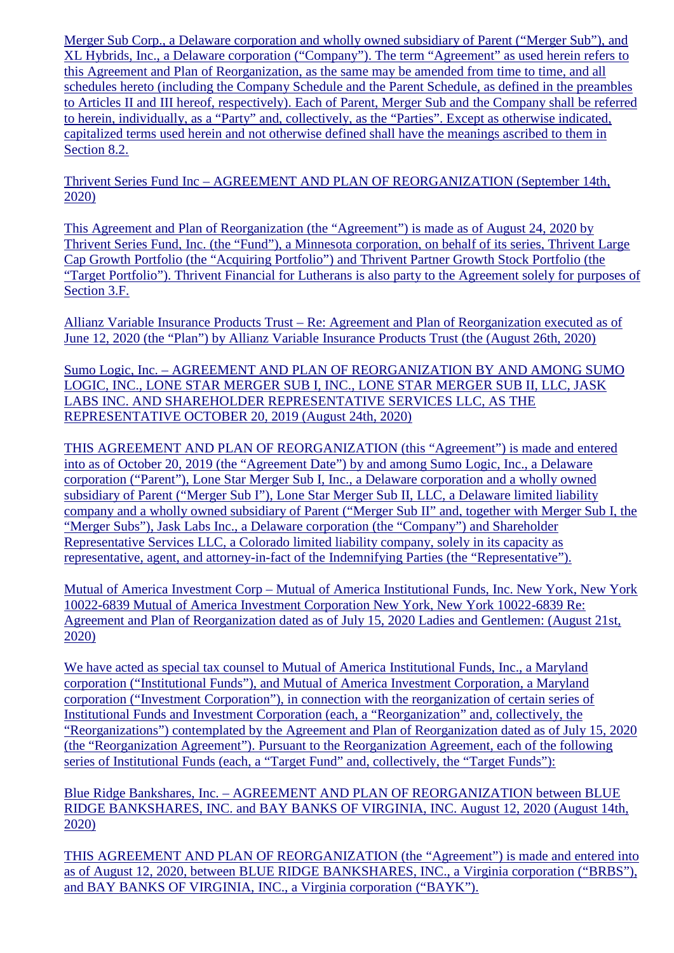Merger Sub Corp., a Delaware corporation and wholly owned subsidiary of Parent ("Merger Sub"), and XL Hybrids, Inc., a Delaware corporation ("Company"). The term "Agreement" as used herein refers to this Agreement and Plan of Reorganization, as the same may be amended from time to time, and all schedules hereto (including the Company Schedule and the Parent Schedule, as defined in the preambles to Articles II and III hereof, respectively). Each of Parent, Merger Sub and the Company shall be referred to herein, individually, as a "Party" and, collectively, as the "Parties". Except as otherwise indicated, capitalized terms used herein and not otherwise defined shall have the meanings ascribed to them in Section 8.2.

Thrivent Series Fund Inc – AGREEMENT AND PLAN OF REORGANIZATION (September 14th, 2020)

This Agreement and Plan of Reorganization (the "Agreement") is made as of August 24, 2020 by Thrivent Series Fund, Inc. (the "Fund"), a Minnesota corporation, on behalf of its series, Thrivent Large Cap Growth Portfolio (the "Acquiring Portfolio") and Thrivent Partner Growth Stock Portfolio (the "Target Portfolio"). Thrivent Financial for Lutherans is also party to the Agreement solely for purposes of Section 3.F.

Allianz Variable Insurance Products Trust – Re: Agreement and Plan of Reorganization executed as of June 12, 2020 (the "Plan") by Allianz Variable Insurance Products Trust (the (August 26th, 2020)

Sumo Logic, Inc. – AGREEMENT AND PLAN OF REORGANIZATION BY AND AMONG SUMO LOGIC, INC., LONE STAR MERGER SUB I, INC., LONE STAR MERGER SUB II, LLC, JASK LABS INC. AND SHAREHOLDER REPRESENTATIVE SERVICES LLC, AS THE REPRESENTATIVE OCTOBER 20, 2019 (August 24th, 2020)

THIS AGREEMENT AND PLAN OF REORGANIZATION (this "Agreement") is made and entered into as of October 20, 2019 (the "Agreement Date") by and among Sumo Logic, Inc., a Delaware corporation ("Parent"), Lone Star Merger Sub I, Inc., a Delaware corporation and a wholly owned subsidiary of Parent ("Merger Sub I"), Lone Star Merger Sub II, LLC, a Delaware limited liability company and a wholly owned subsidiary of Parent ("Merger Sub II" and, together with Merger Sub I, the "Merger Subs"), Jask Labs Inc., a Delaware corporation (the "Company") and Shareholder Representative Services LLC, a Colorado limited liability company, solely in its capacity as representative, agent, and attorney-in-fact of the Indemnifying Parties (the "Representative").

Mutual of America Investment Corp – Mutual of America Institutional Funds, Inc. New York, New York 10022-6839 Mutual of America Investment Corporation New York, New York 10022-6839 Re: Agreement and Plan of Reorganization dated as of July 15, 2020 Ladies and Gentlemen: (August 21st, 2020)

We have acted as special tax counsel to Mutual of America Institutional Funds, Inc., a Maryland corporation ("Institutional Funds"), and Mutual of America Investment Corporation, a Maryland corporation ("Investment Corporation"), in connection with the reorganization of certain series of Institutional Funds and Investment Corporation (each, a "Reorganization" and, collectively, the "Reorganizations") contemplated by the Agreement and Plan of Reorganization dated as of July 15, 2020 (the "Reorganization Agreement"). Pursuant to the Reorganization Agreement, each of the following series of Institutional Funds (each, a "Target Fund" and, collectively, the "Target Funds"):

Blue Ridge Bankshares, Inc. – AGREEMENT AND PLAN OF REORGANIZATION between BLUE RIDGE BANKSHARES, INC. and BAY BANKS OF VIRGINIA, INC. August 12, 2020 (August 14th, 2020)

THIS AGREEMENT AND PLAN OF REORGANIZATION (the "Agreement") is made and entered into as of August 12, 2020, between BLUE RIDGE BANKSHARES, INC., a Virginia corporation ("BRBS"), and BAY BANKS OF VIRGINIA, INC., a Virginia corporation ("BAYK").